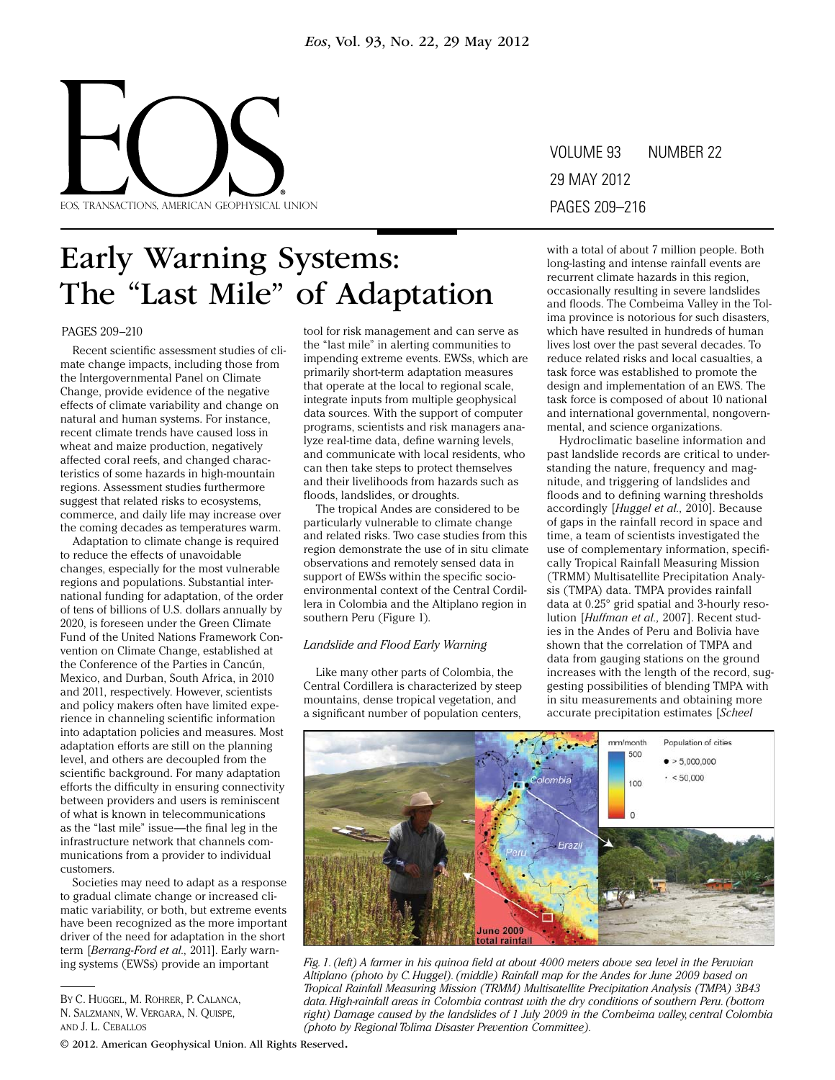

Volume 93 number 22 29 MAY 2012

# Early Warning Systems: The "Last Mile" of Adaptation

### PAGES 209–210

Recent scientific assessment studies of climate change impacts, including those from the Intergovernmental Panel on Climate Change, provide evidence of the negative effects of climate variability and change on natural and human systems. For instance, recent climate trends have caused loss in wheat and maize production, negatively affected coral reefs, and changed characteristics of some hazards in high-mountain regions. Assessment studies furthermore suggest that related risks to ecosystems, commerce, and daily life may increase over the coming decades as temperatures warm.

Adaptation to climate change is required to reduce the effects of unavoidable changes, especially for the most vulnerable regions and populations. Substantial international funding for adaptation, of the order of tens of billions of U.S. dollars annually by 2020, is foreseen under the Green Climate Fund of the United Nations Framework Convention on Climate Change, established at the Conference of the Parties in Cancún, Mexico, and Durban, South Africa, in 2010 and 2011, respectively. However, scientists and policy makers often have limited experience in channeling scientific information into adaptation policies and measures. Most adaptation efforts are still on the planning level, and others are decoupled from the scientific background. For many adaptation efforts the difficulty in ensuring connectivity between providers and users is reminiscent of what is known in telecommunications as the "last mile" issue—the final leg in the infrastructure network that channels communications from a provider to individual customers.

Societies may need to adapt as a response to gradual climate change or increased climatic variability, or both, but extreme events have been recognized as the more important driver of the need for adaptation in the short term [*Berrang-Ford et al.,* 2011]. Early warning systems (EWSs) provide an important

tool for risk management and can serve as the "last mile" in alerting communities to impending extreme events. EWSs, which are primarily short-term adaptation measures that operate at the local to regional scale, integrate inputs from multiple geophysical data sources. With the support of computer programs, scientists and risk managers analyze real-time data, define warning levels, and communicate with local residents, who can then take steps to protect themselves and their livelihoods from hazards such as floods, landslides, or droughts.

The tropical Andes are considered to be particularly vulnerable to climate change and related risks. Two case studies from this region demonstrate the use of in situ climate observations and remotely sensed data in support of EWSs within the specific socioenvironmental context of the Central Cordillera in Colombia and the Altiplano region in southern Peru (Figure 1).

## *Landslide and Flood Early Warning*

Like many other parts of Colombia, the Central Cordillera is characterized by steep mountains, dense tropical vegetation, and a significant number of population centers,

with a total of about 7 million people. Both long-lasting and intense rainfall events are recurrent climate hazards in this region, occasionally resulting in severe landslides and floods. The Combeima Valley in the Tolima province is notorious for such disasters, which have resulted in hundreds of human lives lost over the past several decades. To reduce related risks and local casualties, a task force was established to promote the design and implementation of an EWS. The task force is composed of about 10 national and international governmental, nongovernmental, and science organizations.

Hydroclimatic baseline information and past landslide records are critical to understanding the nature, frequency and magnitude, and triggering of landslides and floods and to defining warning thresholds accordingly [*Huggel et al.,* 2010]. Because of gaps in the rainfall record in space and time, a team of scientists investigated the use of complementary information, specifically Tropical Rainfall Measuring Mission (TRMM) Multisatellite Precipitation Analysis (TMPA) data. TMPA provides rainfall data at 0.25° grid spatial and 3-hourly resolution [*Huffman et al.,* 2007]. Recent studies in the Andes of Peru and Bolivia have shown that the correlation of TMPA and data from gauging stations on the ground increases with the length of the record, suggesting possibilities of blending TMPA with in situ measurements and obtaining more accurate precipitation estimates [*Scheel* 



*Fig. 1. (left) A farmer in his quinoa field at about 4000 meters above sea level in the Peruvian Altiplano (photo by C. Huggel). (middle) Rainfall map for the Andes for June 2009 based on Tropical Rainfall Measuring Mission (TRMM) Multisatellite Precipitation Analysis (TMPA) 3B43 data. High-rainfall areas in Colombia contrast with the dry conditions of southern Peru. (bottom right) Damage caused by the landslides of 1 July 2009 in the Combeima valley, central Colombia (photo by Regional Tolima Disaster Prevention Committee).* 

By C. Huggel, M. Rohrer, P. Calanca, N. Salzmann, W. Vergara, N. Quispe, and J. L. Ceballos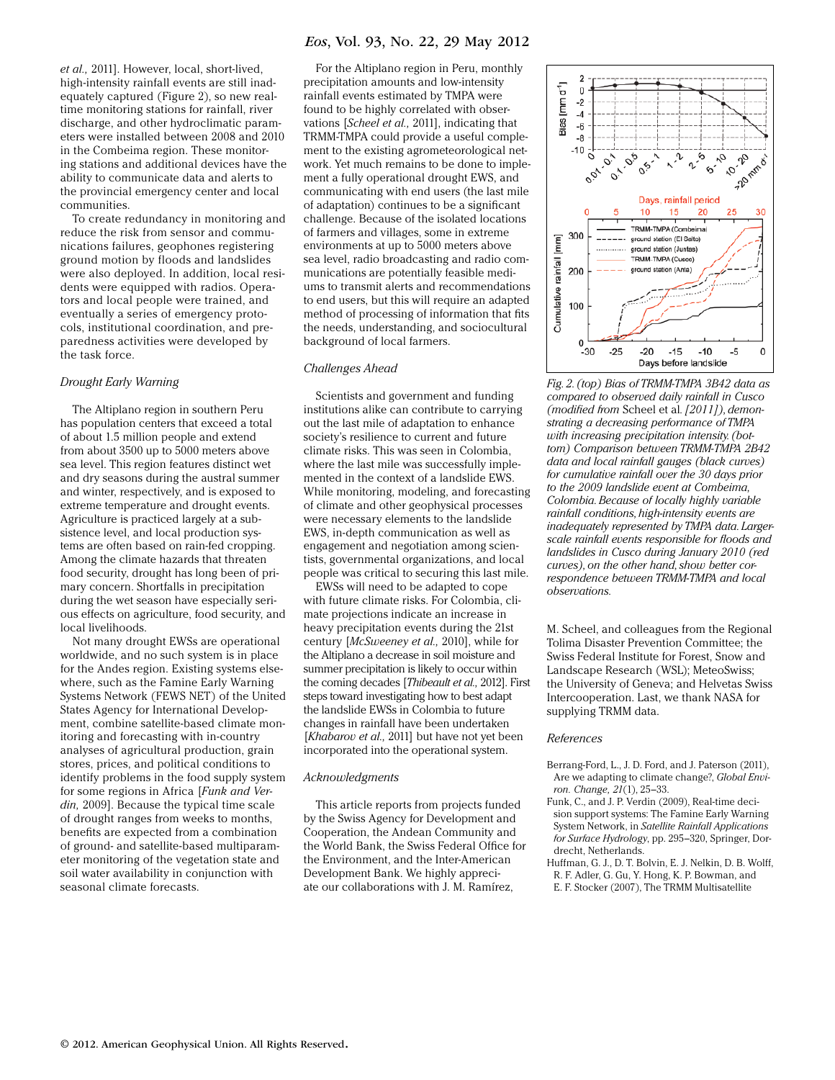*et al.,* 2011]. However, local, short-lived, high-intensity rainfall events are still inadequately captured (Figure 2), so new realtime monitoring stations for rainfall, river discharge, and other hydroclimatic parameters were installed between 2008 and 2010 in the Combeima region. These monitoring stations and additional devices have the ability to communicate data and alerts to the provincial emergency center and local communities.

To create redundancy in monitoring and reduce the risk from sensor and communications failures, geophones registering ground motion by floods and landslides were also deployed. In addition, local residents were equipped with radios. Operators and local people were trained, and eventually a series of emergency protocols, institutional coordination, and preparedness activities were developed by the task force.

## *Drought Early Warning*

The Altiplano region in southern Peru has population centers that exceed a total of about 1.5 million people and extend from about 3500 up to 5000 meters above sea level. This region features distinct wet and dry seasons during the austral summer and winter, respectively, and is exposed to extreme temperature and drought events. Agriculture is practiced largely at a subsistence level, and local production systems are often based on rain-fed cropping. Among the climate hazards that threaten food security, drought has long been of primary concern. Shortfalls in precipitation during the wet season have especially serious effects on agriculture, food security, and local livelihoods.

Not many drought EWSs are operational worldwide, and no such system is in place for the Andes region. Existing systems elsewhere, such as the Famine Early Warning Systems Network (FEWS NET) of the United States Agency for International Development, combine satellite-based climate monitoring and forecasting with in-country analyses of agricultural production, grain stores, prices, and political conditions to identify problems in the food supply system for some regions in Africa [*Funk and Verdin,* 2009]. Because the typical time scale of drought ranges from weeks to months, benefits are expected from a combination of ground- and satellite-based multiparameter monitoring of the vegetation state and soil water availability in conjunction with seasonal climate forecasts.

For the Altiplano region in Peru, monthly precipitation amounts and low-intensity rainfall events estimated by TMPA were found to be highly correlated with observations [*Scheel et al.,* 2011], indicating that TRMM-TMPA could provide a useful complement to the existing agrometeorological network. Yet much remains to be done to implement a fully operational drought EWS, and communicating with end users (the last mile of adaptation) continues to be a significant challenge. Because of the isolated locations of farmers and villages, some in extreme environments at up to 5000 meters above sea level, radio broadcasting and radio communications are potentially feasible mediums to transmit alerts and recommendations to end users, but this will require an adapted method of processing of information that fits the needs, understanding, and sociocultural background of local farmers.

#### *Challenges Ahead*

Scientists and government and funding institutions alike can contribute to carrying out the last mile of adaptation to enhance society's resilience to current and future climate risks. This was seen in Colombia, where the last mile was successfully implemented in the context of a landslide EWS. While monitoring, modeling, and forecasting of climate and other geophysical processes were necessary elements to the landslide EWS, in-depth communication as well as engagement and negotiation among scientists, governmental organizations, and local people was critical to securing this last mile.

EWSs will need to be adapted to cope with future climate risks. For Colombia, climate projections indicate an increase in heavy precipitation events during the 21st century [*McSweeney et al.,* 2010], while for the Altiplano a decrease in soil moisture and summer precipitation is likely to occur within the coming decades [*Thibeault et al.,* 2012]. First steps toward investigating how to best adapt the landslide EWSs in Colombia to future changes in rainfall have been undertaken [*Khabarov et al.,* 2011] but have not yet been incorporated into the operational system.

#### *Acknowledgments*

This article reports from projects funded by the Swiss Agency for Development and Cooperation, the Andean Community and the World Bank, the Swiss Federal Office for the Environment, and the Inter-American Development Bank. We highly appreciate our collaborations with J. M. Ramírez,





M. Scheel, and colleagues from the Regional Tolima Disaster Prevention Committee; the Swiss Federal Institute for Forest, Snow and Landscape Research (WSL); MeteoSwiss; the University of Geneva; and Helvetas Swiss Intercooperation. Last, we thank NASA for supplying TRMM data.

#### *References*

- Berrang-Ford, L., J. D. Ford, and J. Paterson (2011), Are we adapting to climate change?, *Global Environ. Change, 21*(1), 25–33.
- Funk, C., and J. P. Verdin (2009), Real-time decision support systems: The Famine Early Warning System Network, in *Satellite Rainfall Applications for Surface Hydrology*, pp. 295–320, Springer, Dordrecht, Netherlands.
- Huffman, G. J., D. T. Bolvin, E. J. Nelkin, D. B. Wolff, R. F. Adler, G. Gu, Y. Hong, K. P. Bowman, and E. F. Stocker (2007), The TRMM Multisatellite